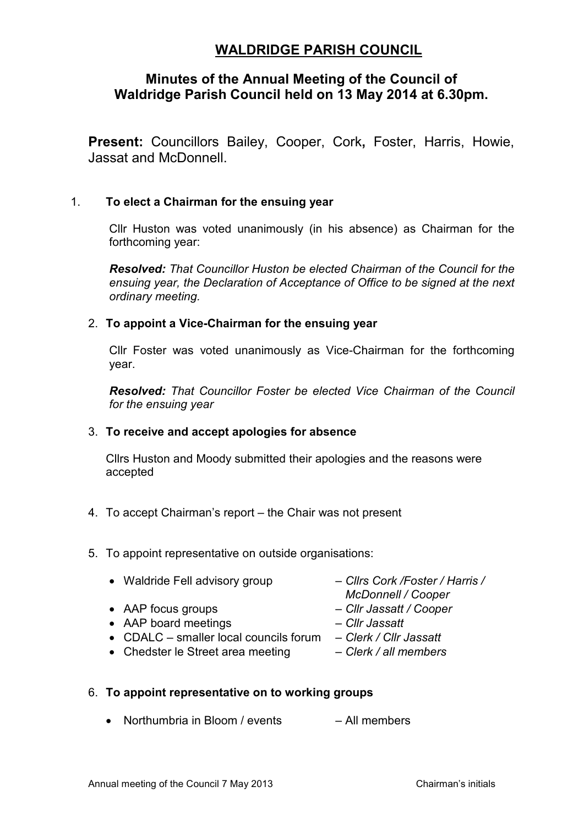# **WALDRIDGE PARISH COUNCIL**

# **Minutes of the Annual Meeting of the Council of Waldridge Parish Council held on 13 May 2014 at 6.30pm.**

**Present:** Councillors Bailey, Cooper, Cork**,** Foster, Harris, Howie, Jassat and McDonnell.

## 1. **To elect a Chairman for the ensuing year**

Cllr Huston was voted unanimously (in his absence) as Chairman for the forthcoming year:

*Resolved: That Councillor Huston be elected Chairman of the Council for the ensuing year, the Declaration of Acceptance of Office to be signed at the next ordinary meeting.* 

### 2. **To appoint a Vice-Chairman for the ensuing year**

Cllr Foster was voted unanimously as Vice-Chairman for the forthcoming year.

*Resolved: That Councillor Foster be elected Vice Chairman of the Council for the ensuing year* 

#### 3. **To receive and accept apologies for absence**

Cllrs Huston and Moody submitted their apologies and the reasons were accepted

- 4. To accept Chairman's report the Chair was not present
- 5. To appoint representative on outside organisations:
	- Waldride Fell advisory group *Cllrs Cork /Foster / Harris /* 
		-
	- AAP focus groups *Cllr Jassatt / Cooper*
	- AAP board meetings *Cllr Jassatt*
	- CDALC smaller local councils forum *Clerk / Cllr Jassatt*
	- Chedster le Street area meeting *Clerk / all members*
- 
- *McDonnell / Cooper*
- 
- 
- -

### 6. **To appoint representative on to working groups**

• Northumbria in Bloom / events – All members